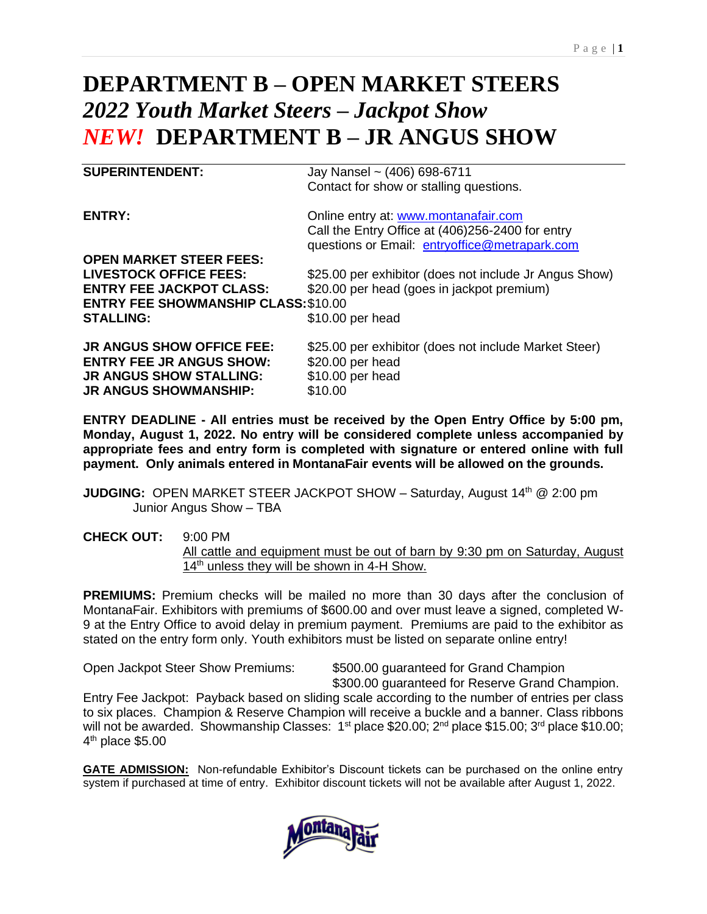# **DEPARTMENT B – OPEN MARKET STEERS** *2022 Youth Market Steers – Jackpot Show NEW!* **DEPARTMENT B – JR ANGUS SHOW**

**SUPERINTENDENT:** Jay Nansel ~ (406) 698-6711 Contact for show or stalling questions. **ENTRY:** Online entry at: [www.montanafair.com](http://www.montanafair.com/) Call the Entry Office at (406)256-2400 for entry questions or Email: [entryoffice@metrapark.com](mailto:entryoffice@metrapark.com) **OPEN MARKET STEER FEES: LIVESTOCK OFFICE FEES:** \$25.00 per exhibitor (does not include Jr Angus Show) **ENTRY FEE JACKPOT CLASS:** \$20.00 per head (goes in jackpot premium) **ENTRY FEE SHOWMANSHIP CLASS:**\$10.00 **STALLING:** \$10.00 per head **JR ANGUS SHOW OFFICE FEE:** \$25.00 per exhibitor (does not include Market Steer) **ENTRY FEE JR ANGUS SHOW:** \$20.00 per head **JR ANGUS SHOW STALLING:** \$10.00 per head

**ENTRY DEADLINE - All entries must be received by the Open Entry Office by 5:00 pm, Monday, August 1, 2022. No entry will be considered complete unless accompanied by appropriate fees and entry form is completed with signature or entered online with full payment. Only animals entered in MontanaFair events will be allowed on the grounds.**

**JUDGING:** OPEN MARKET STEER JACKPOT SHOW – Saturday, August 14<sup>th</sup> @ 2:00 pm Junior Angus Show – TBA

**CHECK OUT:** 9:00 PM All cattle and equipment must be out of barn by 9:30 pm on Saturday, August 14<sup>th</sup> unless they will be shown in 4-H Show.

**PREMIUMS:** Premium checks will be mailed no more than 30 days after the conclusion of MontanaFair. Exhibitors with premiums of \$600.00 and over must leave a signed, completed W-9 at the Entry Office to avoid delay in premium payment. Premiums are paid to the exhibitor as stated on the entry form only. Youth exhibitors must be listed on separate online entry!

**JR ANGUS SHOWMANSHIP:** \$10.00

Open Jackpot Steer Show Premiums: \$500.00 guaranteed for Grand Champion \$300.00 guaranteed for Reserve Grand Champion.

Entry Fee Jackpot: Payback based on sliding scale according to the number of entries per class to six places. Champion & Reserve Champion will receive a buckle and a banner. Class ribbons will not be awarded. Showmanship Classes: 1<sup>st</sup> place \$20.00; 2<sup>nd</sup> place \$15.00; 3<sup>rd</sup> place \$10.00; 4<sup>th</sup> place \$5.00

**GATE ADMISSION:** Non-refundable Exhibitor's Discount tickets can be purchased on the online entry system if purchased at time of entry. Exhibitor discount tickets will not be available after August 1, 2022.

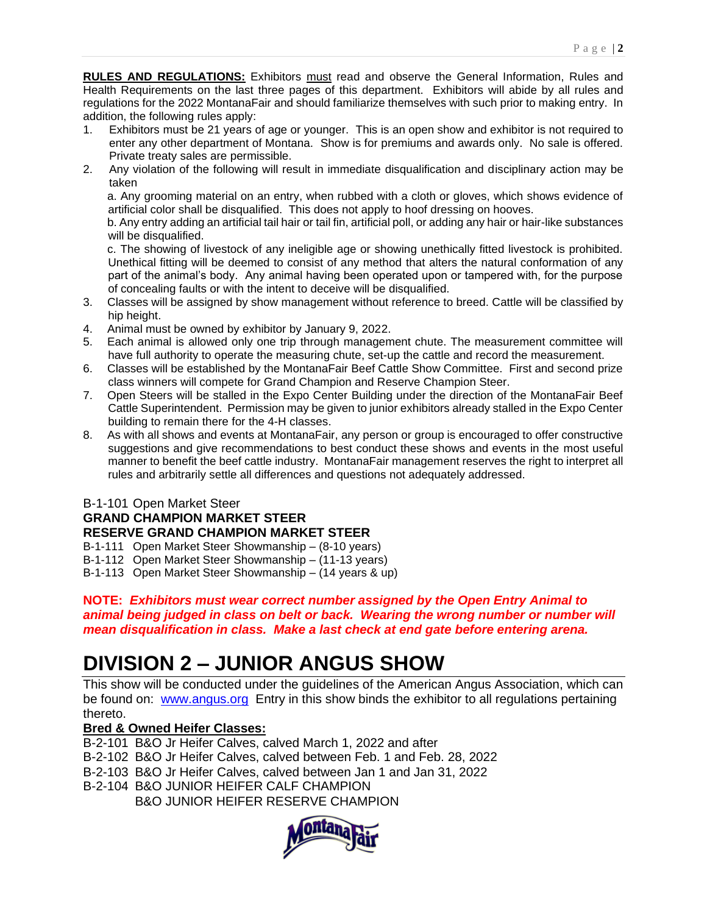**RULES AND REGULATIONS:** Exhibitors must read and observe the General Information, Rules and Health Requirements on the last three pages of this department. Exhibitors will abide by all rules and regulations for the 2022 MontanaFair and should familiarize themselves with such prior to making entry. In addition, the following rules apply:

- 1. Exhibitors must be 21 years of age or younger. This is an open show and exhibitor is not required to enter any other department of Montana. Show is for premiums and awards only. No sale is offered. Private treaty sales are permissible.
- 2. Any violation of the following will result in immediate disqualification and disciplinary action may be taken

a. Any grooming material on an entry, when rubbed with a cloth or gloves, which shows evidence of artificial color shall be disqualified. This does not apply to hoof dressing on hooves.

b. Any entry adding an artificial tail hair or tail fin, artificial poll, or adding any hair or hair-like substances will be disqualified.

c. The showing of livestock of any ineligible age or showing unethically fitted livestock is prohibited. Unethical fitting will be deemed to consist of any method that alters the natural conformation of any part of the animal's body. Any animal having been operated upon or tampered with, for the purpose of concealing faults or with the intent to deceive will be disqualified.

- 3. Classes will be assigned by show management without reference to breed. Cattle will be classified by hip height.
- 4. Animal must be owned by exhibitor by January 9, 2022.
- 5. Each animal is allowed only one trip through management chute. The measurement committee will have full authority to operate the measuring chute, set-up the cattle and record the measurement.
- 6. Classes will be established by the MontanaFair Beef Cattle Show Committee. First and second prize class winners will compete for Grand Champion and Reserve Champion Steer.
- 7. Open Steers will be stalled in the Expo Center Building under the direction of the MontanaFair Beef Cattle Superintendent. Permission may be given to junior exhibitors already stalled in the Expo Center building to remain there for the 4-H classes.
- 8. As with all shows and events at MontanaFair, any person or group is encouraged to offer constructive suggestions and give recommendations to best conduct these shows and events in the most useful manner to benefit the beef cattle industry. MontanaFair management reserves the right to interpret all rules and arbitrarily settle all differences and questions not adequately addressed.

# B-1-101 Open Market Steer **GRAND CHAMPION MARKET STEER RESERVE GRAND CHAMPION MARKET STEER**

- B-1-111 Open Market Steer Showmanship (8-10 years)
- B-1-112 Open Market Steer Showmanship (11-13 years)
- B-1-113 Open Market Steer Showmanship (14 years & up)

### **NOTE:** *Exhibitors must wear correct number assigned by the Open Entry Animal to animal being judged in class on belt or back. Wearing the wrong number or number will mean disqualification in class. Make a last check at end gate before entering arena.*

# **DIVISION 2 – JUNIOR ANGUS SHOW**

This show will be conducted under the guidelines of the American Angus Association, which can be found on: [www.angus.org](http://www.angus.org/) Entry in this show binds the exhibitor to all regulations pertaining thereto.

# **Bred & Owned Heifer Classes:**

B-2-101 B&O Jr Heifer Calves, calved March 1, 2022 and after

B-2-102 B&O Jr Heifer Calves, calved between Feb. 1 and Feb. 28, 2022

B-2-103 B&O Jr Heifer Calves, calved between Jan 1 and Jan 31, 2022

B-2-104 B&O JUNIOR HEIFER CALF CHAMPION

B&O JUNIOR HEIFER RESERVE CHAMPION

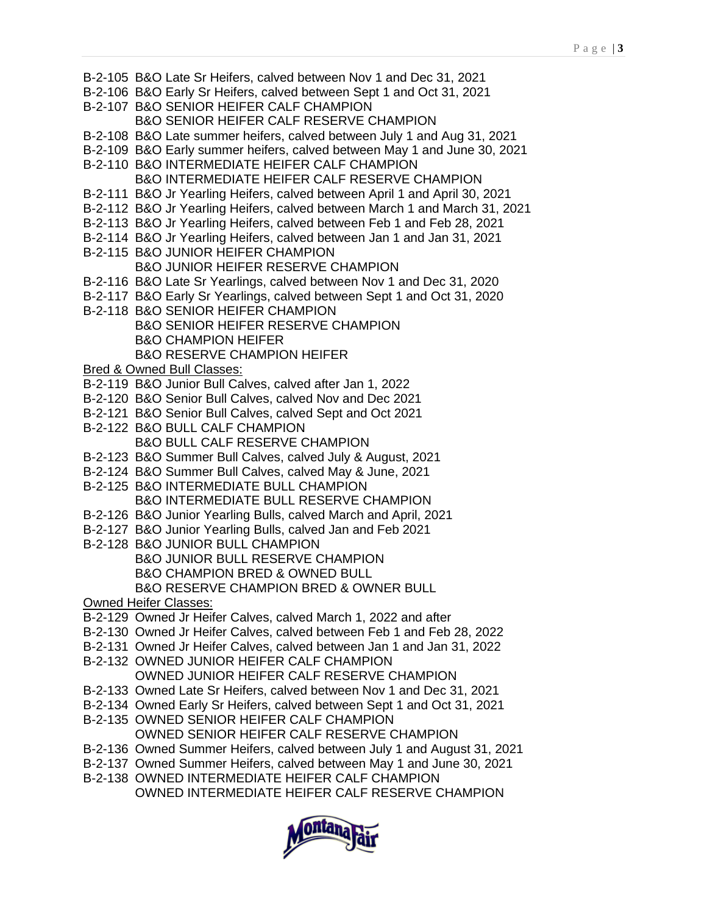- B-2-105 B&O Late Sr Heifers, calved between Nov 1 and Dec 31, 2021
- B-2-106 B&O Early Sr Heifers, calved between Sept 1 and Oct 31, 2021
- B-2-107 B&O SENIOR HEIFER CALF CHAMPION B&O SENIOR HEIFER CALF RESERVE CHAMPION
- B-2-108 B&O Late summer heifers, calved between July 1 and Aug 31, 2021
- B-2-109 B&O Early summer heifers, calved between May 1 and June 30, 2021
- B-2-110 B&O INTERMEDIATE HEIFER CALF CHAMPION
	- B&O INTERMEDIATE HEIFER CALF RESERVE CHAMPION
- B-2-111 B&O Jr Yearling Heifers, calved between April 1 and April 30, 2021
- B-2-112 B&O Jr Yearling Heifers, calved between March 1 and March 31, 2021
- B-2-113 B&O Jr Yearling Heifers, calved between Feb 1 and Feb 28, 2021
- B-2-114 B&O Jr Yearling Heifers, calved between Jan 1 and Jan 31, 2021
- B-2-115 B&O JUNIOR HEIFER CHAMPION
	- B&O JUNIOR HEIFER RESERVE CHAMPION
- B-2-116 B&O Late Sr Yearlings, calved between Nov 1 and Dec 31, 2020
- B-2-117 B&O Early Sr Yearlings, calved between Sept 1 and Oct 31, 2020
- B-2-118 B&O SENIOR HEIFER CHAMPION B&O SENIOR HEIFER RESERVE CHAMPION B&O CHAMPION HEIFER B&O RESERVE CHAMPION HEIFER
- Bred & Owned Bull Classes:
- B-2-119 B&O Junior Bull Calves, calved after Jan 1, 2022
- B-2-120 B&O Senior Bull Calves, calved Nov and Dec 2021
- B-2-121 B&O Senior Bull Calves, calved Sept and Oct 2021
- B-2-122 B&O BULL CALF CHAMPION B&O BULL CALF RESERVE CHAMPION
- B-2-123 B&O Summer Bull Calves, calved July & August, 2021
- B-2-124 B&O Summer Bull Calves, calved May & June, 2021
- B-2-125 B&O INTERMEDIATE BULL CHAMPION B&O INTERMEDIATE BULL RESERVE CHAMPION
- B-2-126 B&O Junior Yearling Bulls, calved March and April, 2021
- B-2-127 B&O Junior Yearling Bulls, calved Jan and Feb 2021
- B-2-128 B&O JUNIOR BULL CHAMPION
	- B&O JUNIOR BULL RESERVE CHAMPION B&O CHAMPION BRED & OWNED BULL B&O RESERVE CHAMPION BRED & OWNER BULL
- Owned Heifer Classes:
- B-2-129 Owned Jr Heifer Calves, calved March 1, 2022 and after
- B-2-130 Owned Jr Heifer Calves, calved between Feb 1 and Feb 28, 2022
- B-2-131 Owned Jr Heifer Calves, calved between Jan 1 and Jan 31, 2022
- B-2-132 OWNED JUNIOR HEIFER CALF CHAMPION OWNED JUNIOR HEIFER CALF RESERVE CHAMPION
- B-2-133 Owned Late Sr Heifers, calved between Nov 1 and Dec 31, 2021
- B-2-134 Owned Early Sr Heifers, calved between Sept 1 and Oct 31, 2021
- B-2-135 OWNED SENIOR HEIFER CALF CHAMPION OWNED SENIOR HEIFER CALF RESERVE CHAMPION
- B-2-136 Owned Summer Heifers, calved between July 1 and August 31, 2021
- B-2-137 Owned Summer Heifers, calved between May 1 and June 30, 2021
- B-2-138 OWNED INTERMEDIATE HEIFER CALF CHAMPION

OWNED INTERMEDIATE HEIFER CALF RESERVE CHAMPION

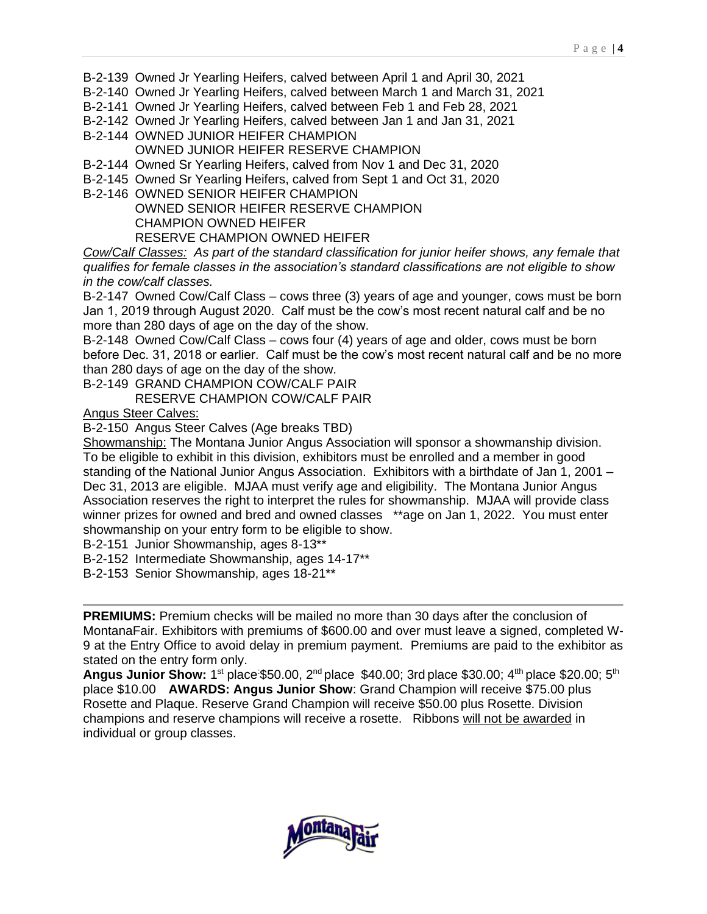- B-2-139 Owned Jr Yearling Heifers, calved between April 1 and April 30, 2021
- B-2-140 Owned Jr Yearling Heifers, calved between March 1 and March 31, 2021
- B-2-141 Owned Jr Yearling Heifers, calved between Feb 1 and Feb 28, 2021
- B-2-142 Owned Jr Yearling Heifers, calved between Jan 1 and Jan 31, 2021
- B-2-144 OWNED JUNIOR HEIFER CHAMPION
	- OWNED JUNIOR HEIFER RESERVE CHAMPION
- B-2-144 Owned Sr Yearling Heifers, calved from Nov 1 and Dec 31, 2020
- B-2-145 Owned Sr Yearling Heifers, calved from Sept 1 and Oct 31, 2020
- B-2-146 OWNED SENIOR HEIFER CHAMPION OWNED SENIOR HEIFER RESERVE CHAMPION CHAMPION OWNED HEIFER RESERVE CHAMPION OWNED HEIFER

*Cow/Calf Classes: As part of the standard classification for junior heifer shows, any female that qualifies for female classes in the association's standard classifications are not eligible to show in the cow/calf classes.*

B-2-147 Owned Cow/Calf Class – cows three (3) years of age and younger, cows must be born Jan 1, 2019 through August 2020. Calf must be the cow's most recent natural calf and be no more than 280 days of age on the day of the show.

B-2-148 Owned Cow/Calf Class – cows four (4) years of age and older, cows must be born before Dec. 31, 2018 or earlier. Calf must be the cow's most recent natural calf and be no more than 280 days of age on the day of the show.

B-2-149 GRAND CHAMPION COW/CALF PAIR

RESERVE CHAMPION COW/CALF PAIR

Angus Steer Calves:

B-2-150 Angus Steer Calves (Age breaks TBD)

Showmanship: The Montana Junior Angus Association will sponsor a showmanship division. To be eligible to exhibit in this division, exhibitors must be enrolled and a member in good standing of the National Junior Angus Association. Exhibitors with a birthdate of Jan 1, 2001 – Dec 31, 2013 are eligible. MJAA must verify age and eligibility. The Montana Junior Angus Association reserves the right to interpret the rules for showmanship. MJAA will provide class winner prizes for owned and bred and owned classes \*\*age on Jan 1, 2022. You must enter showmanship on your entry form to be eligible to show.

B-2-151 Junior Showmanship, ages 8-13\*\*

B-2-152 Intermediate Showmanship, ages 14-17\*\*

B-2-153 Senior Showmanship, ages 18-21\*\*

**PREMIUMS:** Premium checks will be mailed no more than 30 days after the conclusion of MontanaFair. Exhibitors with premiums of \$600.00 and over must leave a signed, completed W-9 at the Entry Office to avoid delay in premium payment. Premiums are paid to the exhibitor as stated on the entry form only.

**Angus Junior Show:** 1<sup>st</sup> place:\$50.00, 2<sup>nd</sup> place \$40.00; 3rd place \$30.00; 4<sup>tth</sup> place \$20.00; 5<sup>th</sup> place \$10.00 **AWARDS: Angus Junior Show**: Grand Champion will receive \$75.00 plus Rosette and Plaque. Reserve Grand Champion will receive \$50.00 plus Rosette. Division champions and reserve champions will receive a rosette. Ribbons will not be awarded in individual or group classes.

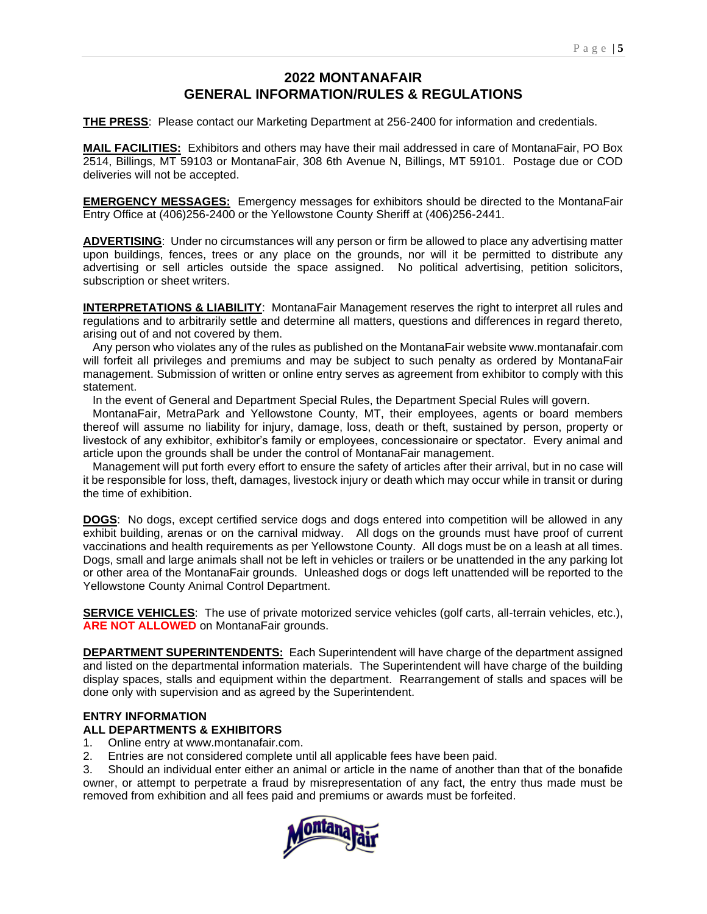# **2022 MONTANAFAIR GENERAL INFORMATION/RULES & REGULATIONS**

**THE PRESS**: Please contact our Marketing Department at 256-2400 for information and credentials.

**MAIL FACILITIES:** Exhibitors and others may have their mail addressed in care of MontanaFair, PO Box 2514, Billings, MT 59103 or MontanaFair, 308 6th Avenue N, Billings, MT 59101. Postage due or COD deliveries will not be accepted.

**EMERGENCY MESSAGES:** Emergency messages for exhibitors should be directed to the MontanaFair Entry Office at (406)256-2400 or the Yellowstone County Sheriff at (406)256-2441.

**ADVERTISING**: Under no circumstances will any person or firm be allowed to place any advertising matter upon buildings, fences, trees or any place on the grounds, nor will it be permitted to distribute any advertising or sell articles outside the space assigned. No political advertising, petition solicitors, subscription or sheet writers.

**INTERPRETATIONS & LIABILITY**: MontanaFair Management reserves the right to interpret all rules and regulations and to arbitrarily settle and determine all matters, questions and differences in regard thereto, arising out of and not covered by them.

 Any person who violates any of the rules as published on the MontanaFair website www.montanafair.com will forfeit all privileges and premiums and may be subject to such penalty as ordered by MontanaFair management. Submission of written or online entry serves as agreement from exhibitor to comply with this statement.

In the event of General and Department Special Rules, the Department Special Rules will govern.

 MontanaFair, MetraPark and Yellowstone County, MT, their employees, agents or board members thereof will assume no liability for injury, damage, loss, death or theft, sustained by person, property or livestock of any exhibitor, exhibitor's family or employees, concessionaire or spectator. Every animal and article upon the grounds shall be under the control of MontanaFair management.

 Management will put forth every effort to ensure the safety of articles after their arrival, but in no case will it be responsible for loss, theft, damages, livestock injury or death which may occur while in transit or during the time of exhibition.

**DOGS**: No dogs, except certified service dogs and dogs entered into competition will be allowed in any exhibit building, arenas or on the carnival midway. All dogs on the grounds must have proof of current vaccinations and health requirements as per Yellowstone County. All dogs must be on a leash at all times. Dogs, small and large animals shall not be left in vehicles or trailers or be unattended in the any parking lot or other area of the MontanaFair grounds. Unleashed dogs or dogs left unattended will be reported to the Yellowstone County Animal Control Department.

**SERVICE VEHICLES**: The use of private motorized service vehicles (golf carts, all-terrain vehicles, etc.), **ARE NOT ALLOWED** on MontanaFair grounds.

**DEPARTMENT SUPERINTENDENTS:** Each Superintendent will have charge of the department assigned and listed on the departmental information materials. The Superintendent will have charge of the building display spaces, stalls and equipment within the department. Rearrangement of stalls and spaces will be done only with supervision and as agreed by the Superintendent.

#### **ENTRY INFORMATION**

#### **ALL DEPARTMENTS & EXHIBITORS**

- 1. Online entry at www.montanafair.com.
- 2. Entries are not considered complete until all applicable fees have been paid.

3. Should an individual enter either an animal or article in the name of another than that of the bonafide owner, or attempt to perpetrate a fraud by misrepresentation of any fact, the entry thus made must be removed from exhibition and all fees paid and premiums or awards must be forfeited.

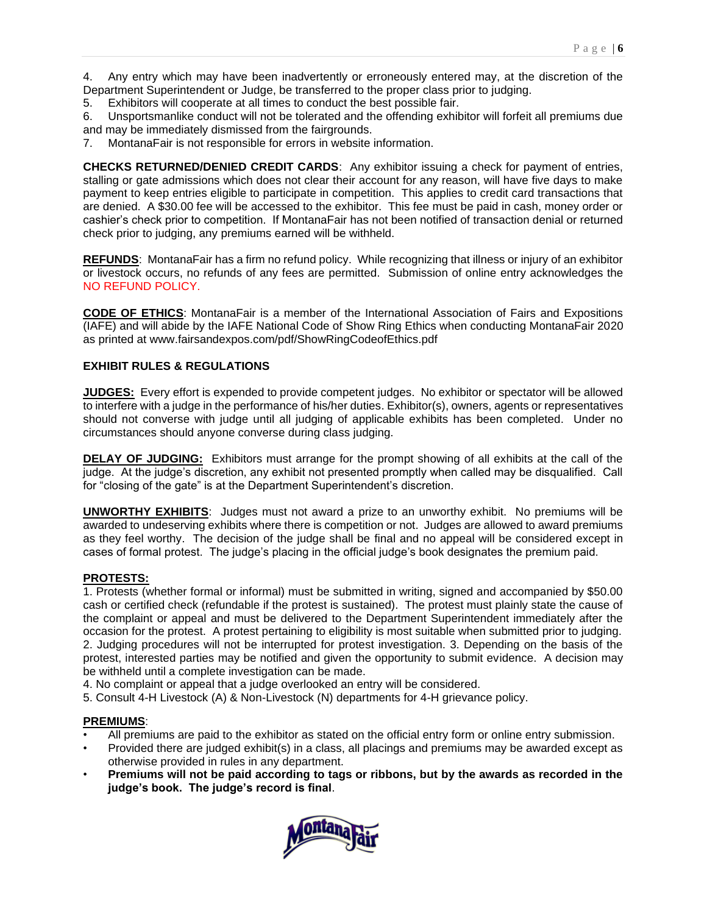4. Any entry which may have been inadvertently or erroneously entered may, at the discretion of the Department Superintendent or Judge, be transferred to the proper class prior to judging.

5. Exhibitors will cooperate at all times to conduct the best possible fair.

6. Unsportsmanlike conduct will not be tolerated and the offending exhibitor will forfeit all premiums due and may be immediately dismissed from the fairgrounds.

7. MontanaFair is not responsible for errors in website information.

**CHECKS RETURNED/DENIED CREDIT CARDS**: Any exhibitor issuing a check for payment of entries, stalling or gate admissions which does not clear their account for any reason, will have five days to make payment to keep entries eligible to participate in competition. This applies to credit card transactions that are denied. A \$30.00 fee will be accessed to the exhibitor. This fee must be paid in cash, money order or cashier's check prior to competition. If MontanaFair has not been notified of transaction denial or returned check prior to judging, any premiums earned will be withheld.

**REFUNDS**: MontanaFair has a firm no refund policy. While recognizing that illness or injury of an exhibitor or livestock occurs, no refunds of any fees are permitted. Submission of online entry acknowledges the NO REFUND POLICY.

**CODE OF ETHICS**: MontanaFair is a member of the International Association of Fairs and Expositions (IAFE) and will abide by the IAFE National Code of Show Ring Ethics when conducting MontanaFair 2020 as printed at www.fairsandexpos.com/pdf/ShowRingCodeofEthics.pdf

#### **EXHIBIT RULES & REGULATIONS**

**JUDGES:** Every effort is expended to provide competent judges. No exhibitor or spectator will be allowed to interfere with a judge in the performance of his/her duties. Exhibitor(s), owners, agents or representatives should not converse with judge until all judging of applicable exhibits has been completed. Under no circumstances should anyone converse during class judging.

**DELAY OF JUDGING:** Exhibitors must arrange for the prompt showing of all exhibits at the call of the judge. At the judge's discretion, any exhibit not presented promptly when called may be disqualified. Call for "closing of the gate" is at the Department Superintendent's discretion.

**UNWORTHY EXHIBITS**: Judges must not award a prize to an unworthy exhibit. No premiums will be awarded to undeserving exhibits where there is competition or not. Judges are allowed to award premiums as they feel worthy. The decision of the judge shall be final and no appeal will be considered except in cases of formal protest. The judge's placing in the official judge's book designates the premium paid.

#### **PROTESTS:**

1. Protests (whether formal or informal) must be submitted in writing, signed and accompanied by \$50.00 cash or certified check (refundable if the protest is sustained). The protest must plainly state the cause of the complaint or appeal and must be delivered to the Department Superintendent immediately after the occasion for the protest. A protest pertaining to eligibility is most suitable when submitted prior to judging. 2. Judging procedures will not be interrupted for protest investigation. 3. Depending on the basis of the protest, interested parties may be notified and given the opportunity to submit evidence. A decision may be withheld until a complete investigation can be made.

4. No complaint or appeal that a judge overlooked an entry will be considered.

5. Consult 4-H Livestock (A) & Non-Livestock (N) departments for 4-H grievance policy.

#### **PREMIUMS**:

- All premiums are paid to the exhibitor as stated on the official entry form or online entry submission.
- Provided there are judged exhibit(s) in a class, all placings and premiums may be awarded except as otherwise provided in rules in any department.
- **Premiums will not be paid according to tags or ribbons, but by the awards as recorded in the judge's book. The judge's record is final**.